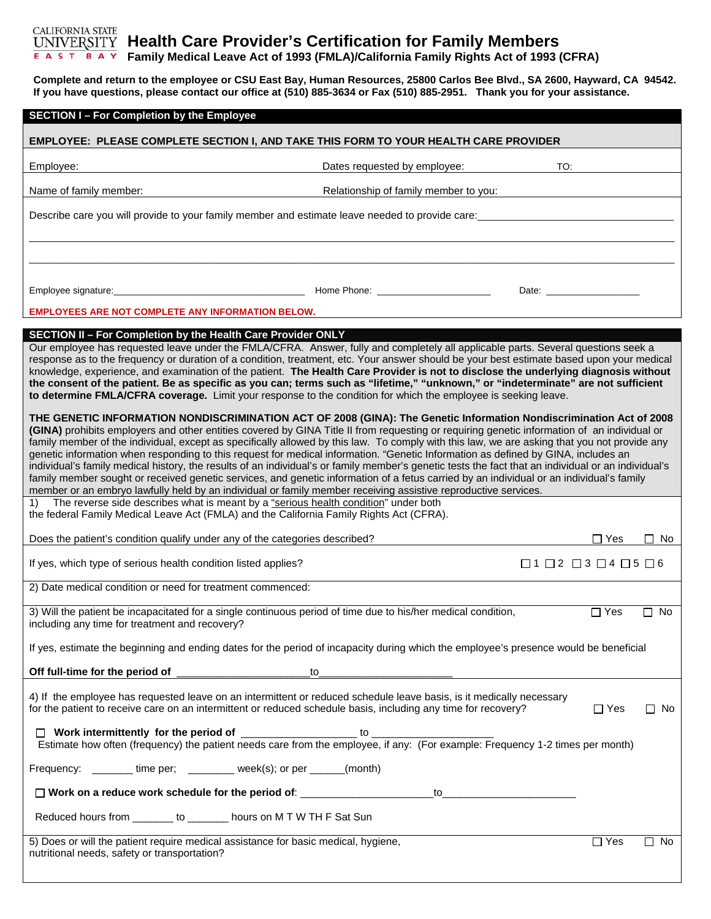## CALIFORNIA STATE **Health Care Provider's Certification for Family Members Family Medical Leave Act of 1993 (FMLA)/California Family Rights Act of 1993 (CFRA)**

**Complete and return to the employee or CSU East Bay, Human Resources, 25800 Carlos Bee Blvd., SA 2600, Hayward, CA 94542. If you have questions, please contact our office at (510) 885-3634 or Fax (510) 885-2951. Thank you for your assistance.** 

| <b>SECTION I-For Completion by the Employee</b>                                                                                                                                                                                                                                                                                                                                                                                                                                                                                                                                                                                                                                                                                                                                                                                                                                                                                                                              |                                       |                                                                                                                                                                                                                                |            |           |  |
|------------------------------------------------------------------------------------------------------------------------------------------------------------------------------------------------------------------------------------------------------------------------------------------------------------------------------------------------------------------------------------------------------------------------------------------------------------------------------------------------------------------------------------------------------------------------------------------------------------------------------------------------------------------------------------------------------------------------------------------------------------------------------------------------------------------------------------------------------------------------------------------------------------------------------------------------------------------------------|---------------------------------------|--------------------------------------------------------------------------------------------------------------------------------------------------------------------------------------------------------------------------------|------------|-----------|--|
| EMPLOYEE: PLEASE COMPLETE SECTION I, AND TAKE THIS FORM TO YOUR HEALTH CARE PROVIDER                                                                                                                                                                                                                                                                                                                                                                                                                                                                                                                                                                                                                                                                                                                                                                                                                                                                                         |                                       |                                                                                                                                                                                                                                |            |           |  |
| Employee:                                                                                                                                                                                                                                                                                                                                                                                                                                                                                                                                                                                                                                                                                                                                                                                                                                                                                                                                                                    | Dates requested by employee:          | TO:                                                                                                                                                                                                                            |            |           |  |
| Name of family member:                                                                                                                                                                                                                                                                                                                                                                                                                                                                                                                                                                                                                                                                                                                                                                                                                                                                                                                                                       | Relationship of family member to you: |                                                                                                                                                                                                                                |            |           |  |
| Describe care you will provide to your family member and estimate leave needed to provide care: _________________                                                                                                                                                                                                                                                                                                                                                                                                                                                                                                                                                                                                                                                                                                                                                                                                                                                            |                                       |                                                                                                                                                                                                                                |            |           |  |
| <b>EMPLOYEES ARE NOT COMPLETE ANY INFORMATION BELOW.</b>                                                                                                                                                                                                                                                                                                                                                                                                                                                                                                                                                                                                                                                                                                                                                                                                                                                                                                                     |                                       | Date: the contract of the contract of the contract of the contract of the contract of the contract of the contract of the contract of the contract of the contract of the contract of the contract of the contract of the cont |            |           |  |
|                                                                                                                                                                                                                                                                                                                                                                                                                                                                                                                                                                                                                                                                                                                                                                                                                                                                                                                                                                              |                                       |                                                                                                                                                                                                                                |            |           |  |
| SECTION II - For Completion by the Health Care Provider ONLY<br>Our employee has requested leave under the FMLA/CFRA. Answer, fully and completely all applicable parts. Several questions seek a<br>response as to the frequency or duration of a condition, treatment, etc. Your answer should be your best estimate based upon your medical<br>knowledge, experience, and examination of the patient. The Health Care Provider is not to disclose the underlying diagnosis without<br>the consent of the patient. Be as specific as you can; terms such as "lifetime," "unknown," or "indeterminate" are not sufficient<br>to determine FMLA/CFRA coverage. Limit your response to the condition for which the employee is seeking leave.                                                                                                                                                                                                                                 |                                       |                                                                                                                                                                                                                                |            |           |  |
| THE GENETIC INFORMATION NONDISCRIMINATION ACT OF 2008 (GINA): The Genetic Information Nondiscrimination Act of 2008<br>(GINA) prohibits employers and other entities covered by GINA Title II from requesting or requiring genetic information of an individual or<br>family member of the individual, except as specifically allowed by this law. To comply with this law, we are asking that you not provide any<br>genetic information when responding to this request for medical information. "Genetic Information as defined by GINA, includes an<br>individual's family medical history, the results of an individual's or family member's genetic tests the fact that an individual or an individual's<br>family member sought or received genetic services, and genetic information of a fetus carried by an individual or an individual's family<br>member or an embryo lawfully held by an individual or family member receiving assistive reproductive services. |                                       |                                                                                                                                                                                                                                |            |           |  |
| The reverse side describes what is meant by a "serious health condition" under both<br>1)<br>the federal Family Medical Leave Act (FMLA) and the California Family Rights Act (CFRA).                                                                                                                                                                                                                                                                                                                                                                                                                                                                                                                                                                                                                                                                                                                                                                                        |                                       |                                                                                                                                                                                                                                |            |           |  |
| Does the patient's condition qualify under any of the categories described?                                                                                                                                                                                                                                                                                                                                                                                                                                                                                                                                                                                                                                                                                                                                                                                                                                                                                                  |                                       |                                                                                                                                                                                                                                | $\Box$ Yes | $\Box$ No |  |
| If yes, which type of serious health condition listed applies?                                                                                                                                                                                                                                                                                                                                                                                                                                                                                                                                                                                                                                                                                                                                                                                                                                                                                                               |                                       | $\Box 1 \Box 2 \Box 3 \Box 4 \Box 5 \Box 6$                                                                                                                                                                                    |            |           |  |
| 2) Date medical condition or need for treatment commenced:                                                                                                                                                                                                                                                                                                                                                                                                                                                                                                                                                                                                                                                                                                                                                                                                                                                                                                                   |                                       |                                                                                                                                                                                                                                |            |           |  |
| 3) Will the patient be incapacitated for a single continuous period of time due to his/her medical condition,<br>including any time for treatment and recovery?                                                                                                                                                                                                                                                                                                                                                                                                                                                                                                                                                                                                                                                                                                                                                                                                              |                                       |                                                                                                                                                                                                                                | $\Box$ Yes | $\Box$ No |  |
| If yes, estimate the beginning and ending dates for the period of incapacity during which the employee's presence would be beneficial                                                                                                                                                                                                                                                                                                                                                                                                                                                                                                                                                                                                                                                                                                                                                                                                                                        |                                       |                                                                                                                                                                                                                                |            |           |  |
|                                                                                                                                                                                                                                                                                                                                                                                                                                                                                                                                                                                                                                                                                                                                                                                                                                                                                                                                                                              |                                       |                                                                                                                                                                                                                                |            |           |  |
| 4) If the employee has requested leave on an intermittent or reduced schedule leave basis, is it medically necessary<br>for the patient to receive care on an intermittent or reduced schedule basis, including any time for recovery?<br>$\Box$ Yes                                                                                                                                                                                                                                                                                                                                                                                                                                                                                                                                                                                                                                                                                                                         |                                       |                                                                                                                                                                                                                                |            | $\Box$ No |  |
|                                                                                                                                                                                                                                                                                                                                                                                                                                                                                                                                                                                                                                                                                                                                                                                                                                                                                                                                                                              |                                       |                                                                                                                                                                                                                                |            |           |  |
| Frequency: _________ time per; __________ week(s); or per ______ (month)                                                                                                                                                                                                                                                                                                                                                                                                                                                                                                                                                                                                                                                                                                                                                                                                                                                                                                     |                                       |                                                                                                                                                                                                                                |            |           |  |
|                                                                                                                                                                                                                                                                                                                                                                                                                                                                                                                                                                                                                                                                                                                                                                                                                                                                                                                                                                              |                                       |                                                                                                                                                                                                                                |            |           |  |
| Reduced hours from _______ to _______ hours on M T W TH F Sat Sun                                                                                                                                                                                                                                                                                                                                                                                                                                                                                                                                                                                                                                                                                                                                                                                                                                                                                                            |                                       |                                                                                                                                                                                                                                |            |           |  |
| 5) Does or will the patient require medical assistance for basic medical, hygiene,<br>$\Box$ Yes<br>$\Box$ No<br>nutritional needs, safety or transportation?                                                                                                                                                                                                                                                                                                                                                                                                                                                                                                                                                                                                                                                                                                                                                                                                                |                                       |                                                                                                                                                                                                                                |            |           |  |